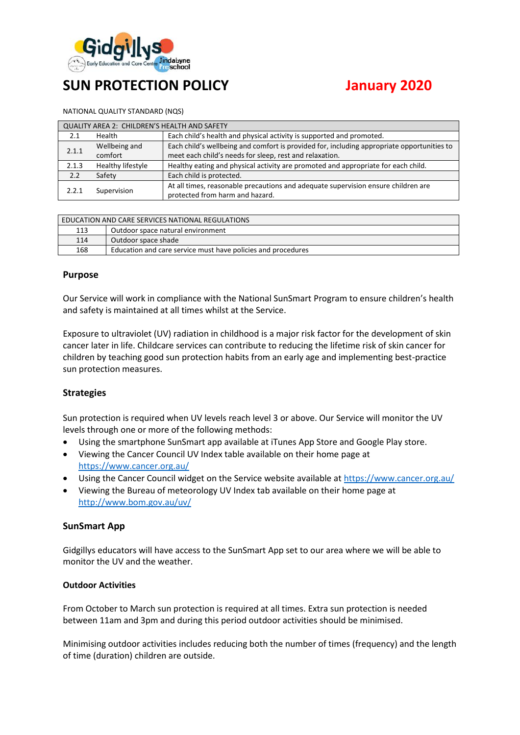

# **SUN PROTECTION POLICY January 2020**

#### NATIONAL QUALITY STANDARD (NQS)

| QUALITY AREA 2: CHILDREN'S HEALTH AND SAFETY |                   |                                                                                            |  |  |  |
|----------------------------------------------|-------------------|--------------------------------------------------------------------------------------------|--|--|--|
| 2.1                                          | Health            | Each child's health and physical activity is supported and promoted.                       |  |  |  |
| 2.1.1                                        | Wellbeing and     | Each child's wellbeing and comfort is provided for, including appropriate opportunities to |  |  |  |
|                                              | comfort           | meet each child's needs for sleep, rest and relaxation.                                    |  |  |  |
| 2.1.3                                        | Healthy lifestyle | Healthy eating and physical activity are promoted and appropriate for each child.          |  |  |  |
| 2.2                                          | Safety            | Each child is protected.                                                                   |  |  |  |
| 2.2.1                                        | Supervision       | At all times, reasonable precautions and adequate supervision ensure children are          |  |  |  |
|                                              |                   | protected from harm and hazard.                                                            |  |  |  |

| EDUCATION AND CARE SERVICES NATIONAL REGULATIONS |                                                              |  |  |  |
|--------------------------------------------------|--------------------------------------------------------------|--|--|--|
| 113                                              | Outdoor space natural environment                            |  |  |  |
| 114                                              | Outdoor space shade                                          |  |  |  |
| 168                                              | Education and care service must have policies and procedures |  |  |  |

#### **Purpose**

Our Service will work in compliance with the National SunSmart Program to ensure children's health and safety is maintained at all times whilst at the Service.

Exposure to ultraviolet (UV) radiation in childhood is a major risk factor for the development of skin cancer later in life. Childcare services can contribute to reducing the lifetime risk of skin cancer for children by teaching good sun protection habits from an early age and implementing best-practice sun protection measures.

#### **Strategies**

Sun protection is required when UV levels reach level 3 or above. Our Service will monitor the UV levels through one or more of the following methods:

- Using the smartphone SunSmart app available at iTunes App Store and Google Play store.
- Viewing the Cancer Council UV Index table available on their home page at <https://www.cancer.org.au/>
- Using the Cancer Council widget on the Service website available a[t https://www.cancer.org.au/](https://www.cancer.org.au/)
- Viewing the Bureau of meteorology UV Index tab available on their home page at <http://www.bom.gov.au/uv/>

#### **SunSmart App**

Gidgillys educators will have access to the SunSmart App set to our area where we will be able to monitor the UV and the weather.

#### **Outdoor Activities**

From October to March sun protection is required at all times. Extra sun protection is needed between 11am and 3pm and during this period outdoor activities should be minimised.

Minimising outdoor activities includes reducing both the number of times (frequency) and the length of time (duration) children are outside.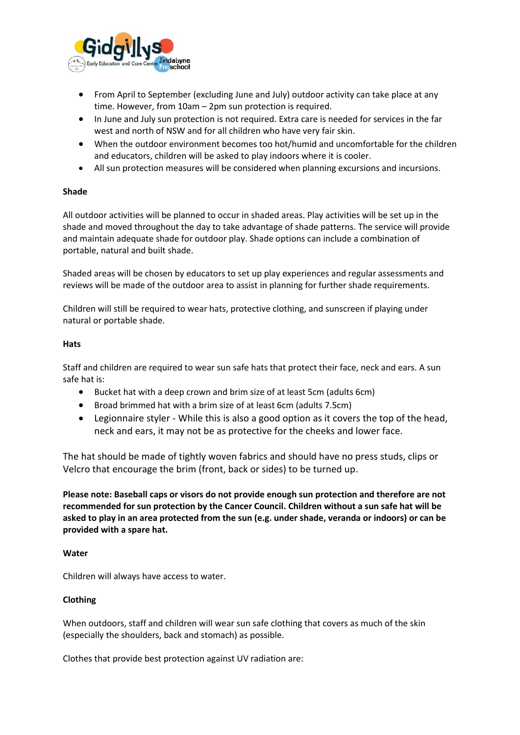

- From April to September (excluding June and July) outdoor activity can take place at any time. However, from 10am – 2pm sun protection is required.
- In June and July sun protection is not required. Extra care is needed for services in the far west and north of NSW and for all children who have very fair skin.
- When the outdoor environment becomes too hot/humid and uncomfortable for the children and educators, children will be asked to play indoors where it is cooler.
- All sun protection measures will be considered when planning excursions and incursions.

#### **Shade**

All outdoor activities will be planned to occur in shaded areas. Play activities will be set up in the shade and moved throughout the day to take advantage of shade patterns. The service will provide and maintain adequate shade for outdoor play. Shade options can include a combination of portable, natural and built shade.

Shaded areas will be chosen by educators to set up play experiences and regular assessments and reviews will be made of the outdoor area to assist in planning for further shade requirements.

Children will still be required to wear hats, protective clothing, and sunscreen if playing under natural or portable shade.

#### **Hats**

Staff and children are required to wear sun safe hats that protect their face, neck and ears. A sun safe hat is:

- Bucket hat with a deep crown and brim size of at least 5cm (adults 6cm)
- Broad brimmed hat with a brim size of at least 6cm (adults 7.5cm)
- Legionnaire styler While this is also a good option as it covers the top of the head, neck and ears, it may not be as protective for the cheeks and lower face.

The hat should be made of tightly woven fabrics and should have no press studs, clips or Velcro that encourage the brim (front, back or sides) to be turned up.

**Please note: Baseball caps or visors do not provide enough sun protection and therefore are not recommended for sun protection by the Cancer Council. Children without a sun safe hat will be asked to play in an area protected from the sun (e.g. under shade, veranda or indoors) or can be provided with a spare hat.**

#### **Water**

Children will always have access to water.

#### **Clothing**

When outdoors, staff and children will wear sun safe clothing that covers as much of the skin (especially the shoulders, back and stomach) as possible.

Clothes that provide best protection against UV radiation are: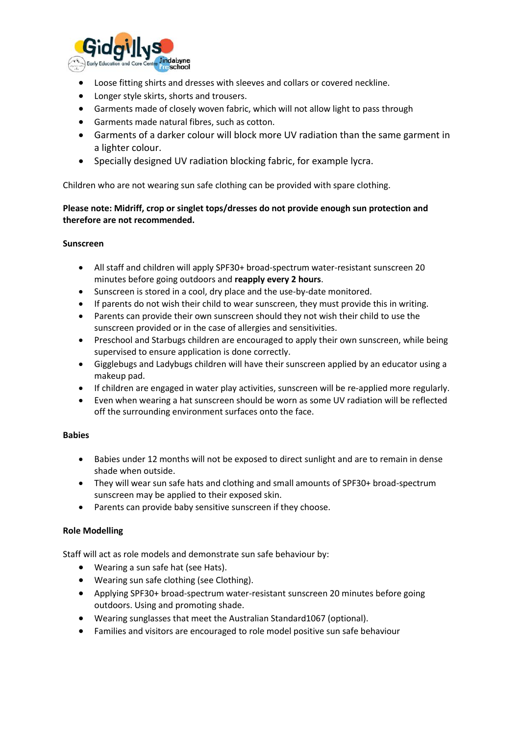

- Loose fitting shirts and dresses with sleeves and collars or covered neckline.
- Longer style skirts, shorts and trousers.
- Garments made of closely woven fabric, which will not allow light to pass through
- Garments made natural fibres, such as cotton.
- Garments of a darker colour will block more UV radiation than the same garment in a lighter colour.
- Specially designed UV radiation blocking fabric, for example lycra.

Children who are not wearing sun safe clothing can be provided with spare clothing.

### **Please note: Midriff, crop or singlet tops/dresses do not provide enough sun protection and therefore are not recommended.**

#### **Sunscreen**

- All staff and children will apply SPF30+ broad-spectrum water-resistant sunscreen 20 minutes before going outdoors and **reapply every 2 hours**.
- Sunscreen is stored in a cool, dry place and the use-by-date monitored.
- If parents do not wish their child to wear sunscreen, they must provide this in writing.
- Parents can provide their own sunscreen should they not wish their child to use the sunscreen provided or in the case of allergies and sensitivities.
- Preschool and Starbugs children are encouraged to apply their own sunscreen, while being supervised to ensure application is done correctly.
- Gigglebugs and Ladybugs children will have their sunscreen applied by an educator using a makeup pad.
- If children are engaged in water play activities, sunscreen will be re-applied more regularly.
- Even when wearing a hat sunscreen should be worn as some UV radiation will be reflected off the surrounding environment surfaces onto the face.

#### **Babies**

- Babies under 12 months will not be exposed to direct sunlight and are to remain in dense shade when outside.
- They will wear sun safe hats and clothing and small amounts of SPF30+ broad-spectrum sunscreen may be applied to their exposed skin.
- Parents can provide baby sensitive sunscreen if they choose.

### **Role Modelling**

Staff will act as role models and demonstrate sun safe behaviour by:

- Wearing a sun safe hat (see Hats).
- Wearing sun safe clothing (see Clothing).
- Applying SPF30+ broad-spectrum water-resistant sunscreen 20 minutes before going outdoors. Using and promoting shade.
- Wearing sunglasses that meet the Australian Standard1067 (optional).
- Families and visitors are encouraged to role model positive sun safe behaviour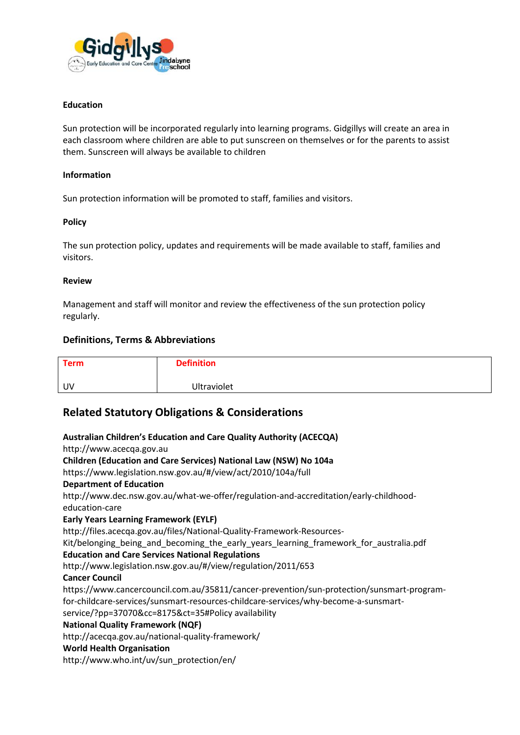

#### **Education**

Sun protection will be incorporated regularly into learning programs. Gidgillys will create an area in each classroom where children are able to put sunscreen on themselves or for the parents to assist them. Sunscreen will always be available to children

#### **Information**

Sun protection information will be promoted to staff, families and visitors.

#### **Policy**

The sun protection policy, updates and requirements will be made available to staff, families and visitors.

#### **Review**

Management and staff will monitor and review the effectiveness of the sun protection policy regularly.

#### **Definitions, Terms & Abbreviations**

| <b>Term</b> | <b>Definition</b>  |
|-------------|--------------------|
| UV          | <b>Ultraviolet</b> |

## **Related Statutory Obligations & Considerations**

**Australian Children's Education and Care Quality Authority (ACECQA)** http://www.acecqa.gov.au **Children (Education and Care Services) National Law (NSW) No 104a**  https://www.legislation.nsw.gov.au/#/view/act/2010/104a/full **Department of Education** http://www.dec.nsw.gov.au/what-we-offer/regulation-and-accreditation/early-childhoodeducation-care **Early Years Learning Framework (EYLF)** http://files.acecqa.gov.au/files/National-Quality-Framework-Resources-Kit/belonging being and becoming the early years learning framework for australia.pdf **Education and Care Services National Regulations**  http://www.legislation.nsw.gov.au/#/view/regulation/2011/653 **Cancer Council**  https://www.cancercouncil.com.au/35811/cancer-prevention/sun-protection/sunsmart-programfor-childcare-services/sunsmart-resources-childcare-services/why-become-a-sunsmartservice/?pp=37070&cc=8175&ct=35#Policy availability **National Quality Framework (NQF)** http://acecqa.gov.au/national-quality-framework/ **World Health Organisation**  http://www.who.int/uv/sun\_protection/en/